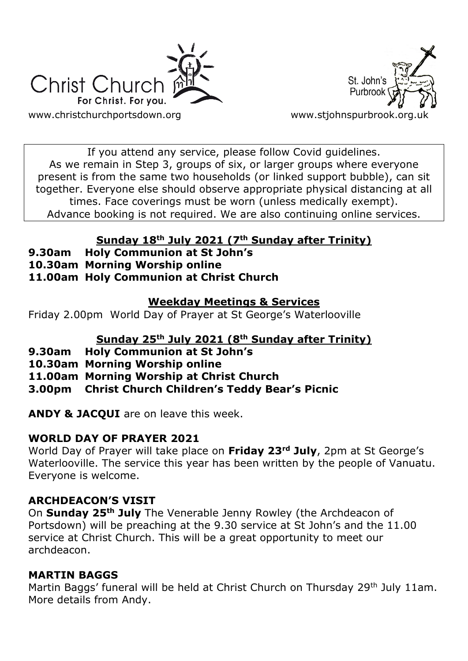



If you attend any service, please follow Covid guidelines. As we remain in Step 3, groups of six, or larger groups where everyone present is from the same two households (or linked support bubble), can sit together. Everyone else should observe appropriate physical distancing at all times. Face coverings must be worn (unless medically exempt). Advance booking is not required. We are also continuing online services.

## **Sunday 18th July 2021 (7th Sunday after Trinity)**

- **9.30am Holy Communion at St John's**
- **10.30am Morning Worship online**
- **11.00am Holy Communion at Christ Church**

### **Weekday Meetings & Services**

Friday 2.00pm World Day of Prayer at St George's Waterlooville

# **Sunday 25th July 2021 (8th Sunday after Trinity)**

- **9.30am Holy Communion at St John's**
- **10.30am Morning Worship online**
- **11.00am Morning Worship at Christ Church**
- **3.00pm Christ Church Children's Teddy Bear's Picnic**

**ANDY & JACQUI** are on leave this week.

# **WORLD DAY OF PRAYER 2021**

World Day of Prayer will take place on **Friday 23rd July**, 2pm at St George's Waterlooville. The service this year has been written by the people of Vanuatu. Everyone is welcome.

# **ARCHDEACON'S VISIT**

On **Sunday 25th July** The Venerable Jenny Rowley (the Archdeacon of Portsdown) will be preaching at the 9.30 service at St John's and the 11.00 service at Christ Church. This will be a great opportunity to meet our archdeacon.

# **MARTIN BAGGS**

Martin Baggs' funeral will be held at Christ Church on Thursday 29<sup>th</sup> July 11am. More details from Andy.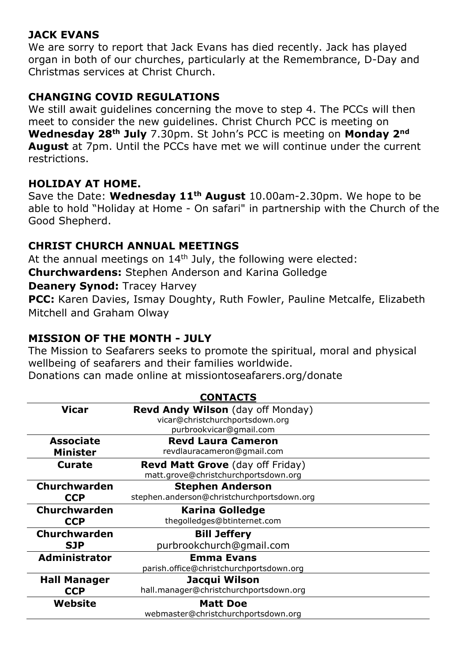### **JACK EVANS**

We are sorry to report that Jack Evans has died recently. Jack has played organ in both of our churches, particularly at the Remembrance, D-Day and Christmas services at Christ Church.

### **CHANGING COVID REGULATIONS**

We still await guidelines concerning the move to step 4. The PCCs will then meet to consider the new guidelines. Christ Church PCC is meeting on **Wednesday 28th July** 7.30pm. St John's PCC is meeting on **Monday 2nd August** at 7pm. Until the PCCs have met we will continue under the current restrictions.

#### **HOLIDAY AT HOME.**

Save the Date: **Wednesday 11th August** 10.00am-2.30pm. We hope to be able to hold "Holiday at Home - On safari" in partnership with the Church of the Good Shepherd.

### **CHRIST CHURCH ANNUAL MEETINGS**

At the annual meetings on  $14<sup>th</sup>$  July, the following were elected: **Churchwardens:** Stephen Anderson and Karina Golledge **Deanery Synod: Tracey Harvey** 

**PCC:** Karen Davies, Ismay Doughty, Ruth Fowler, Pauline Metcalfe, Elizabeth Mitchell and Graham Olway

### **MISSION OF THE MONTH - JULY**

The Mission to Seafarers seeks to promote the spiritual, moral and physical wellbeing of seafarers and their families worldwide.

Donations can made online at missiontoseafarers.org/donate

| <b>CONTACTS</b>     |                                            |
|---------------------|--------------------------------------------|
| <b>Vicar</b>        | <b>Revd Andy Wilson</b> (day off Monday)   |
|                     | vicar@christchurchportsdown.org            |
|                     | purbrookvicar@gmail.com                    |
| <b>Associate</b>    | <b>Revd Laura Cameron</b>                  |
| <b>Minister</b>     | revdlauracameron@gmail.com                 |
| <b>Curate</b>       | <b>Revd Matt Grove</b> (day off Friday)    |
|                     | matt.grove@christchurchportsdown.org       |
| <b>Churchwarden</b> | <b>Stephen Anderson</b>                    |
| <b>CCP</b>          | stephen.anderson@christchurchportsdown.org |
| Churchwarden        | <b>Karina Golledge</b>                     |
| <b>CCP</b>          | thegolledges@btinternet.com                |
| Churchwarden        | <b>Bill Jeffery</b>                        |
| <b>SJP</b>          | purbrookchurch@gmail.com                   |
| Administrator       | <b>Emma Evans</b>                          |
|                     | parish.office@christchurchportsdown.org    |
| <b>Hall Manager</b> | Jacqui Wilson                              |
| <b>CCP</b>          | hall.manager@christchurchportsdown.org     |
| Website             | <b>Matt Doe</b>                            |
|                     | webmaster@christchurchportsdown.org        |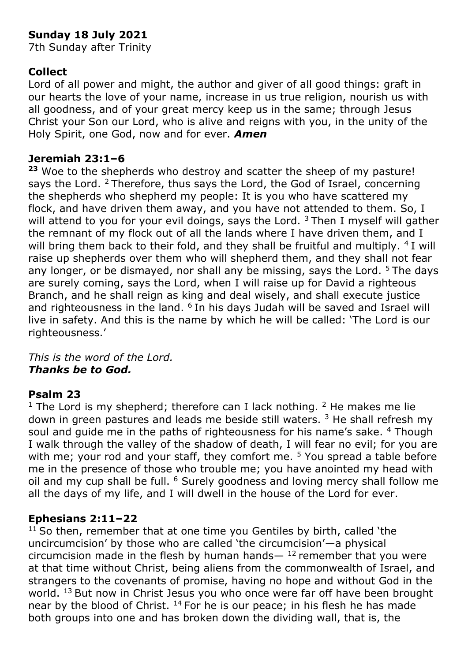## **Sunday 18 July 2021**

7th Sunday after Trinity

### **Collect**

Lord of all power and might, the author and giver of all good things: graft in our hearts the love of your name, increase in us true religion, nourish us with all goodness, and of your great mercy keep us in the same; through Jesus Christ your Son our Lord, who is alive and reigns with you, in the unity of the Holy Spirit, one God, now and for ever. *Amen*

#### **Jeremiah 23:1–6**

**<sup>23</sup>** Woe to the shepherds who destroy and scatter the sheep of my pasture! says the Lord. <sup>2</sup> Therefore, thus says the Lord, the God of Israel, concerning the shepherds who shepherd my people: It is you who have scattered my flock, and have driven them away, and you have not attended to them. So, I will attend to you for your evil doings, says the Lord.  $3$  Then I myself will gather the remnant of my flock out of all the lands where I have driven them, and I will bring them back to their fold, and they shall be fruitful and multiply. <sup>4</sup> I will raise up shepherds over them who will shepherd them, and they shall not fear any longer, or be dismayed, nor shall any be missing, says the Lord.  $5$  The days are surely coming, says the Lord, when I will raise up for David a righteous Branch, and he shall reign as king and deal wisely, and shall execute justice and righteousness in the land. <sup>6</sup> In his days Judah will be saved and Israel will live in safety. And this is the name by which he will be called: 'The Lord is our righteousness.'

*This is the word of the Lord. Thanks be to God.*

### **Psalm 23**

<sup>1</sup> The Lord is my shepherd; therefore can I lack nothing. <sup>2</sup> He makes me lie down in green pastures and leads me beside still waters.  $3$  He shall refresh my soul and guide me in the paths of righteousness for his name's sake. <sup>4</sup> Though I walk through the valley of the shadow of death, I will fear no evil; for you are with me; your rod and your staff, they comfort me. <sup>5</sup> You spread a table before me in the presence of those who trouble me; you have anointed my head with oil and my cup shall be full. <sup>6</sup> Surely goodness and loving mercy shall follow me all the days of my life, and I will dwell in the house of the Lord for ever.

#### **Ephesians 2:11–22**

 $11$  So then, remember that at one time you Gentiles by birth, called 'the uncircumcision' by those who are called 'the circumcision'—a physical circumcision made in the flesh by human hands— $12$  remember that you were at that time without Christ, being aliens from the commonwealth of Israel, and strangers to the covenants of promise, having no hope and without God in the world. <sup>13</sup> But now in Christ Jesus you who once were far off have been brought near by the blood of Christ.  $14$  For he is our peace; in his flesh he has made both groups into one and has broken down the dividing wall, that is, the